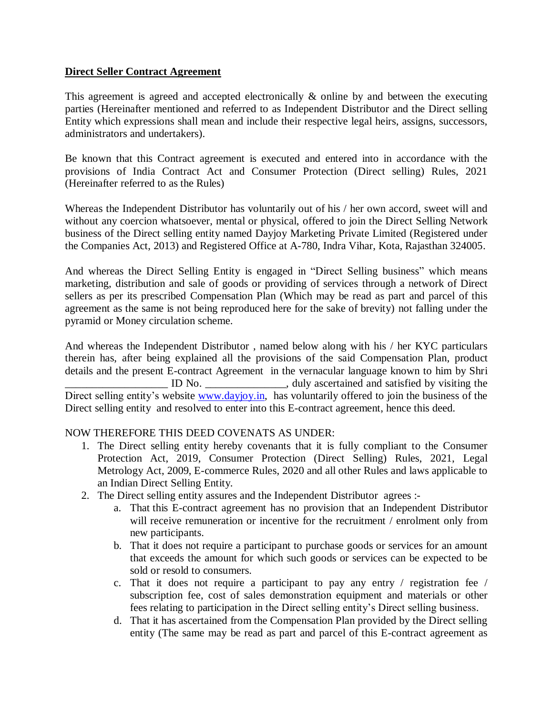# **Direct Seller Contract Agreement**

This agreement is agreed and accepted electronically & online by and between the executing parties (Hereinafter mentioned and referred to as Independent Distributor and the Direct selling Entity which expressions shall mean and include their respective legal heirs, assigns, successors, administrators and undertakers).

Be known that this Contract agreement is executed and entered into in accordance with the provisions of India Contract Act and Consumer Protection (Direct selling) Rules, 2021 (Hereinafter referred to as the Rules)

Whereas the Independent Distributor has voluntarily out of his / her own accord, sweet will and without any coercion whatsoever, mental or physical, offered to join the Direct Selling Network business of the Direct selling entity named Dayjoy Marketing Private Limited (Registered under the Companies Act, 2013) and Registered Office at A-780, Indra Vihar, Kota, Rajasthan 324005.

And whereas the Direct Selling Entity is engaged in "Direct Selling business" which means marketing, distribution and sale of goods or providing of services through a network of Direct sellers as per its prescribed Compensation Plan (Which may be read as part and parcel of this agreement as the same is not being reproduced here for the sake of brevity) not falling under the pyramid or Money circulation scheme.

And whereas the Independent Distributor , named below along with his / her KYC particulars therein has, after being explained all the provisions of the said Compensation Plan, product details and the present E-contract Agreement in the vernacular language known to him by Shri ID No. \_\_\_\_\_\_\_\_\_\_\_\_\_, duly ascertained and satisfied by visiting the Direct selling entity's website [www.dayjoy.in,](http://www.dayjoy.in/) has voluntarily offered to join the business of the Direct selling entity and resolved to enter into this E-contract agreement, hence this deed.

# NOW THEREFORE THIS DEED COVENATS AS UNDER:

- 1. The Direct selling entity hereby covenants that it is fully compliant to the Consumer Protection Act, 2019, Consumer Protection (Direct Selling) Rules, 2021, Legal Metrology Act, 2009, E-commerce Rules, 2020 and all other Rules and laws applicable to an Indian Direct Selling Entity.
- 2. The Direct selling entity assures and the Independent Distributor agrees :
	- a. That this E-contract agreement has no provision that an Independent Distributor will receive remuneration or incentive for the recruitment / enrolment only from new participants.
	- b. That it does not require a participant to purchase goods or services for an amount that exceeds the amount for which such goods or services can be expected to be sold or resold to consumers.
	- c. That it does not require a participant to pay any entry / registration fee / subscription fee, cost of sales demonstration equipment and materials or other fees relating to participation in the Direct selling entity's Direct selling business.
	- d. That it has ascertained from the Compensation Plan provided by the Direct selling entity (The same may be read as part and parcel of this E-contract agreement as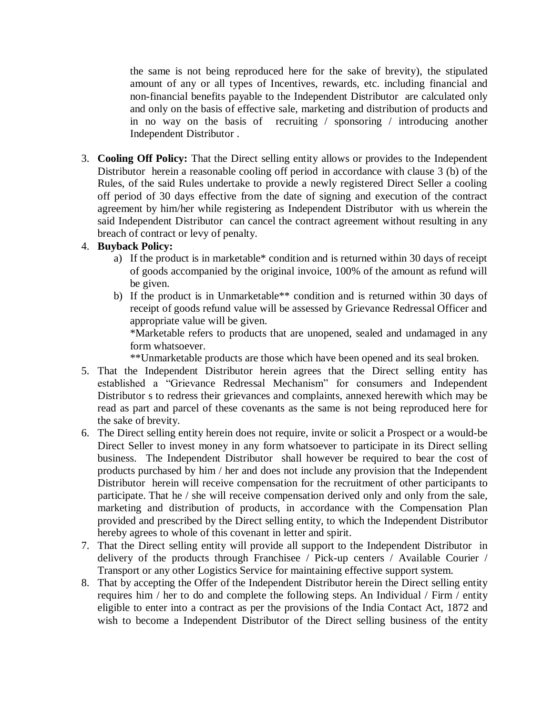the same is not being reproduced here for the sake of brevity), the stipulated amount of any or all types of Incentives, rewards, etc. including financial and non-financial benefits payable to the Independent Distributor are calculated only and only on the basis of effective sale, marketing and distribution of products and in no way on the basis of recruiting / sponsoring / introducing another Independent Distributor .

3. **Cooling Off Policy:** That the Direct selling entity allows or provides to the Independent Distributor herein a reasonable cooling off period in accordance with clause 3 (b) of the Rules, of the said Rules undertake to provide a newly registered Direct Seller a cooling off period of 30 days effective from the date of signing and execution of the contract agreement by him/her while registering as Independent Distributor with us wherein the said Independent Distributor can cancel the contract agreement without resulting in any breach of contract or levy of penalty.

# 4. **Buyback Policy:**

- a) If the product is in marketable\* condition and is returned within 30 days of receipt of goods accompanied by the original invoice, 100% of the amount as refund will be given.
- b) If the product is in Unmarketable\*\* condition and is returned within 30 days of receipt of goods refund value will be assessed by Grievance Redressal Officer and appropriate value will be given.

\*Marketable refers to products that are unopened, sealed and undamaged in any form whatsoever.

\*\*Unmarketable products are those which have been opened and its seal broken.

- 5. That the Independent Distributor herein agrees that the Direct selling entity has established a "Grievance Redressal Mechanism" for consumers and Independent Distributor s to redress their grievances and complaints, annexed herewith which may be read as part and parcel of these covenants as the same is not being reproduced here for the sake of brevity.
- 6. The Direct selling entity herein does not require, invite or solicit a Prospect or a would-be Direct Seller to invest money in any form whatsoever to participate in its Direct selling business. The Independent Distributor shall however be required to bear the cost of products purchased by him / her and does not include any provision that the Independent Distributor herein will receive compensation for the recruitment of other participants to participate. That he / she will receive compensation derived only and only from the sale, marketing and distribution of products, in accordance with the Compensation Plan provided and prescribed by the Direct selling entity, to which the Independent Distributor hereby agrees to whole of this covenant in letter and spirit.
- 7. That the Direct selling entity will provide all support to the Independent Distributor in delivery of the products through Franchisee / Pick-up centers / Available Courier / Transport or any other Logistics Service for maintaining effective support system.
- 8. That by accepting the Offer of the Independent Distributor herein the Direct selling entity requires him / her to do and complete the following steps. An Individual / Firm / entity eligible to enter into a contract as per the provisions of the India Contact Act, 1872 and wish to become a Independent Distributor of the Direct selling business of the entity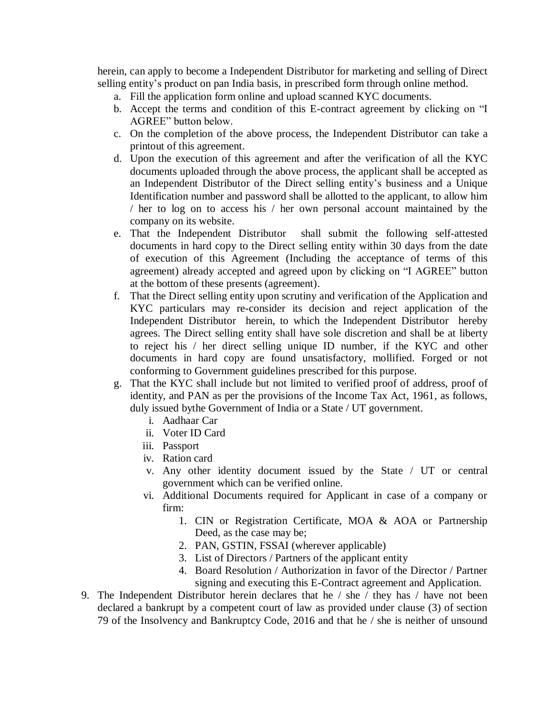herein, can apply to become a Independent Distributor for marketing and selling of Direct selling entity's product on pan India basis, in prescribed form through online method.

- a. Fill the application form online and upload scanned KYC documents.
- b. Accept the terms and condition of this E-contract agreement by clicking on "I AGREE" button below.
- c. On the completion of the above process, the Independent Distributor can take a printout of this agreement.
- d. Upon the execution of this agreement and after the verification of all the KYC documents uploaded through the above process, the applicant shall be accepted as an Independent Distributor of the Direct selling entity's business and a Unique Identification number and password shall be allotted to the applicant, to allow him / her to log on to access his / her own personal account maintained by the company on its website.
- e. That the Independent Distributor shall submit the following self-attested documents in hard copy to the Direct selling entity within 30 days from the date of execution of this Agreement (Including the acceptance of terms of this agreement) already accepted and agreed upon by clicking on "I AGREE" button at the bottom of these presents (agreement).
- f. That the Direct selling entity upon scrutiny and verification of the Application and KYC particulars may re-consider its decision and reject application of the Independent Distributor herein, to which the Independent Distributor hereby agrees. The Direct selling entity shall have sole discretion and shall be at liberty to reject his / her direct selling unique ID number, if the KYC and other documents in hard copy are found unsatisfactory, mollified. Forged or not conforming to Government guidelines prescribed for this purpose.
- g. That the KYC shall include but not limited to verified proof of address, proof of identity, and PAN as per the provisions of the Income Tax Act, 1961, as follows, duly issued bythe Government of India or a State / UT government.
	- i. Aadhaar Car
	- ii. Voter ID Card
	- iii. Passport
	- iv. Ration card
	- v. Any other identity document issued by the State / UT or central government which can be verified online.
	- vi. Additional Documents required for Applicant in case of a company or firm:
		- 1. CIN or Registration Certificate, MOA & AOA or Partnership Deed, as the case may be;
		- 2. PAN, GSTIN, FSSAI (wherever applicable)
		- 3. List of Directors / Partners of the applicant entity
		- 4. Board Resolution / Authorization in favor of the Director / Partner signing and executing this E-Contract agreement and Application.
- 9. The Independent Distributor herein declares that he / she / they has / have not been declared a bankrupt by a competent court of law as provided under clause (3) of section 79 of the Insolvency and Bankruptcy Code, 2016 and that he / she is neither of unsound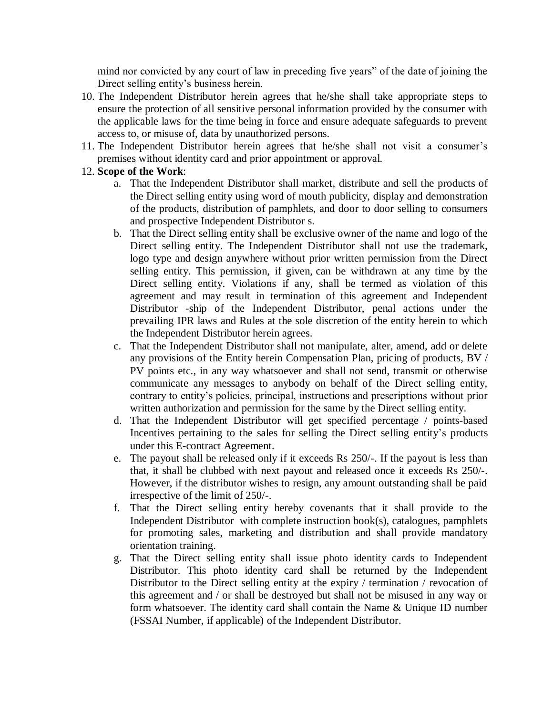mind nor convicted by any court of law in preceding five years" of the date of joining the Direct selling entity's business herein.

- 10. The Independent Distributor herein agrees that he/she shall take appropriate steps to ensure the protection of all sensitive personal information provided by the consumer with the applicable laws for the time being in force and ensure adequate safeguards to prevent access to, or misuse of, data by unauthorized persons.
- 11. The Independent Distributor herein agrees that he/she shall not visit a consumer's premises without identity card and prior appointment or approval.

## 12. **Scope of the Work**:

- a. That the Independent Distributor shall market, distribute and sell the products of the Direct selling entity using word of mouth publicity, display and demonstration of the products, distribution of pamphlets, and door to door selling to consumers and prospective Independent Distributor s.
- b. That the Direct selling entity shall be exclusive owner of the name and logo of the Direct selling entity. The Independent Distributor shall not use the trademark, logo type and design anywhere without prior written permission from the Direct selling entity. This permission, if given, can be withdrawn at any time by the Direct selling entity. Violations if any, shall be termed as violation of this agreement and may result in termination of this agreement and Independent Distributor -ship of the Independent Distributor, penal actions under the prevailing IPR laws and Rules at the sole discretion of the entity herein to which the Independent Distributor herein agrees.
- c. That the Independent Distributor shall not manipulate, alter, amend, add or delete any provisions of the Entity herein Compensation Plan, pricing of products, BV / PV points etc., in any way whatsoever and shall not send, transmit or otherwise communicate any messages to anybody on behalf of the Direct selling entity, contrary to entity's policies, principal, instructions and prescriptions without prior written authorization and permission for the same by the Direct selling entity.
- d. That the Independent Distributor will get specified percentage / points-based Incentives pertaining to the sales for selling the Direct selling entity's products under this E-contract Agreement.
- e. The payout shall be released only if it exceeds Rs 250/-. If the payout is less than that, it shall be clubbed with next payout and released once it exceeds Rs 250/-. However, if the distributor wishes to resign, any amount outstanding shall be paid irrespective of the limit of 250/-.
- f. That the Direct selling entity hereby covenants that it shall provide to the Independent Distributor with complete instruction book(s), catalogues, pamphlets for promoting sales, marketing and distribution and shall provide mandatory orientation training.
- g. That the Direct selling entity shall issue photo identity cards to Independent Distributor. This photo identity card shall be returned by the Independent Distributor to the Direct selling entity at the expiry / termination / revocation of this agreement and / or shall be destroyed but shall not be misused in any way or form whatsoever. The identity card shall contain the Name & Unique ID number (FSSAI Number, if applicable) of the Independent Distributor.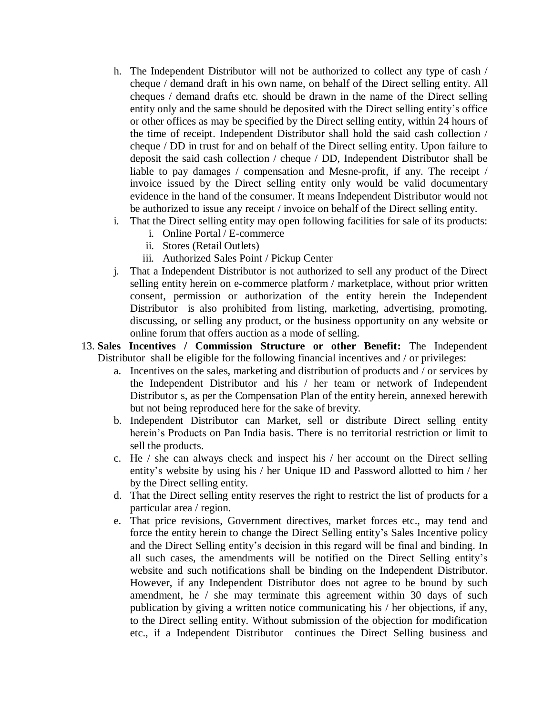- h. The Independent Distributor will not be authorized to collect any type of cash / cheque / demand draft in his own name, on behalf of the Direct selling entity. All cheques / demand drafts etc. should be drawn in the name of the Direct selling entity only and the same should be deposited with the Direct selling entity's office or other offices as may be specified by the Direct selling entity, within 24 hours of the time of receipt. Independent Distributor shall hold the said cash collection / cheque / DD in trust for and on behalf of the Direct selling entity. Upon failure to deposit the said cash collection / cheque / DD, Independent Distributor shall be liable to pay damages / compensation and Mesne-profit, if any. The receipt / invoice issued by the Direct selling entity only would be valid documentary evidence in the hand of the consumer. It means Independent Distributor would not be authorized to issue any receipt / invoice on behalf of the Direct selling entity.
- i. That the Direct selling entity may open following facilities for sale of its products:
	- i. Online Portal / E-commerce
	- ii. Stores (Retail Outlets)
	- iii. Authorized Sales Point / Pickup Center
- j. That a Independent Distributor is not authorized to sell any product of the Direct selling entity herein on e-commerce platform / marketplace, without prior written consent, permission or authorization of the entity herein the Independent Distributor is also prohibited from listing, marketing, advertising, promoting, discussing, or selling any product, or the business opportunity on any website or online forum that offers auction as a mode of selling.
- 13. **Sales Incentives / Commission Structure or other Benefit:** The Independent Distributor shall be eligible for the following financial incentives and / or privileges:
	- a. Incentives on the sales, marketing and distribution of products and / or services by the Independent Distributor and his / her team or network of Independent Distributor s, as per the Compensation Plan of the entity herein, annexed herewith but not being reproduced here for the sake of brevity.
	- b. Independent Distributor can Market, sell or distribute Direct selling entity herein's Products on Pan India basis. There is no territorial restriction or limit to sell the products.
	- c. He / she can always check and inspect his / her account on the Direct selling entity's website by using his / her Unique ID and Password allotted to him / her by the Direct selling entity.
	- d. That the Direct selling entity reserves the right to restrict the list of products for a particular area / region.
	- e. That price revisions, Government directives, market forces etc., may tend and force the entity herein to change the Direct Selling entity's Sales Incentive policy and the Direct Selling entity's decision in this regard will be final and binding. In all such cases, the amendments will be notified on the Direct Selling entity's website and such notifications shall be binding on the Independent Distributor. However, if any Independent Distributor does not agree to be bound by such amendment, he / she may terminate this agreement within 30 days of such publication by giving a written notice communicating his / her objections, if any, to the Direct selling entity. Without submission of the objection for modification etc., if a Independent Distributor continues the Direct Selling business and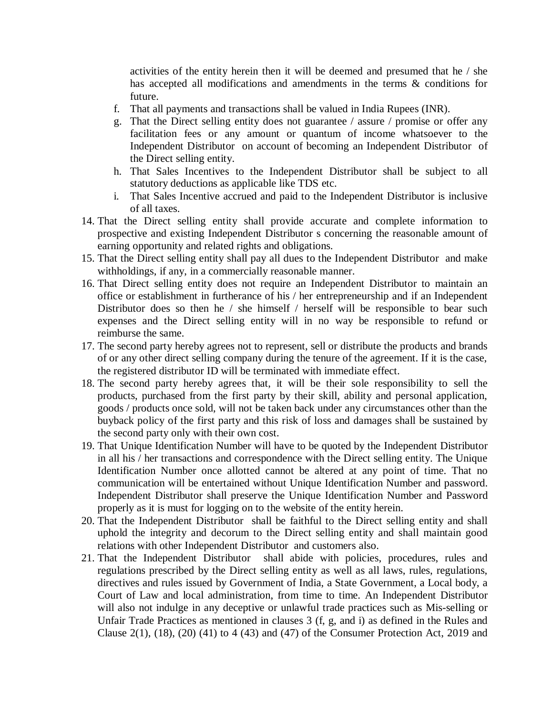activities of the entity herein then it will be deemed and presumed that he / she has accepted all modifications and amendments in the terms & conditions for future.

- f. That all payments and transactions shall be valued in India Rupees (INR).
- g. That the Direct selling entity does not guarantee / assure / promise or offer any facilitation fees or any amount or quantum of income whatsoever to the Independent Distributor on account of becoming an Independent Distributor of the Direct selling entity.
- h. That Sales Incentives to the Independent Distributor shall be subject to all statutory deductions as applicable like TDS etc.
- i. That Sales Incentive accrued and paid to the Independent Distributor is inclusive of all taxes.
- 14. That the Direct selling entity shall provide accurate and complete information to prospective and existing Independent Distributor s concerning the reasonable amount of earning opportunity and related rights and obligations.
- 15. That the Direct selling entity shall pay all dues to the Independent Distributor and make withholdings, if any, in a commercially reasonable manner.
- 16. That Direct selling entity does not require an Independent Distributor to maintain an office or establishment in furtherance of his / her entrepreneurship and if an Independent Distributor does so then he / she himself / herself will be responsible to bear such expenses and the Direct selling entity will in no way be responsible to refund or reimburse the same.
- 17. The second party hereby agrees not to represent, sell or distribute the products and brands of or any other direct selling company during the tenure of the agreement. If it is the case, the registered distributor ID will be terminated with immediate effect.
- 18. The second party hereby agrees that, it will be their sole responsibility to sell the products, purchased from the first party by their skill, ability and personal application, goods / products once sold, will not be taken back under any circumstances other than the buyback policy of the first party and this risk of loss and damages shall be sustained by the second party only with their own cost.
- 19. That Unique Identification Number will have to be quoted by the Independent Distributor in all his / her transactions and correspondence with the Direct selling entity. The Unique Identification Number once allotted cannot be altered at any point of time. That no communication will be entertained without Unique Identification Number and password. Independent Distributor shall preserve the Unique Identification Number and Password properly as it is must for logging on to the website of the entity herein.
- 20. That the Independent Distributor shall be faithful to the Direct selling entity and shall uphold the integrity and decorum to the Direct selling entity and shall maintain good relations with other Independent Distributor and customers also.
- 21. That the Independent Distributor shall abide with policies, procedures, rules and regulations prescribed by the Direct selling entity as well as all laws, rules, regulations, directives and rules issued by Government of India, a State Government, a Local body, a Court of Law and local administration, from time to time. An Independent Distributor will also not indulge in any deceptive or unlawful trade practices such as Mis-selling or Unfair Trade Practices as mentioned in clauses 3 (f, g, and i) as defined in the Rules and Clause  $2(1)$ ,  $(18)$ ,  $(20)$   $(41)$  to 4  $(43)$  and  $(47)$  of the Consumer Protection Act,  $2019$  and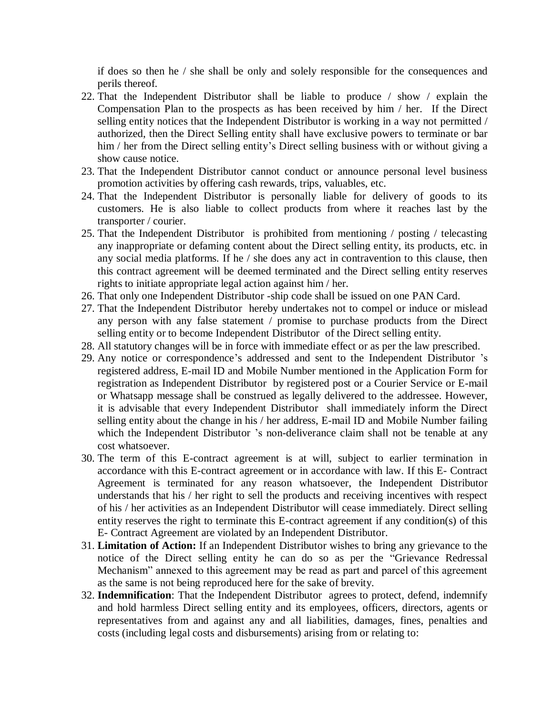if does so then he / she shall be only and solely responsible for the consequences and perils thereof.

- 22. That the Independent Distributor shall be liable to produce / show / explain the Compensation Plan to the prospects as has been received by him / her. If the Direct selling entity notices that the Independent Distributor is working in a way not permitted / authorized, then the Direct Selling entity shall have exclusive powers to terminate or bar him / her from the Direct selling entity's Direct selling business with or without giving a show cause notice.
- 23. That the Independent Distributor cannot conduct or announce personal level business promotion activities by offering cash rewards, trips, valuables, etc.
- 24. That the Independent Distributor is personally liable for delivery of goods to its customers. He is also liable to collect products from where it reaches last by the transporter / courier.
- 25. That the Independent Distributor is prohibited from mentioning / posting / telecasting any inappropriate or defaming content about the Direct selling entity, its products, etc. in any social media platforms. If he / she does any act in contravention to this clause, then this contract agreement will be deemed terminated and the Direct selling entity reserves rights to initiate appropriate legal action against him / her.
- 26. That only one Independent Distributor -ship code shall be issued on one PAN Card.
- 27. That the Independent Distributor hereby undertakes not to compel or induce or mislead any person with any false statement / promise to purchase products from the Direct selling entity or to become Independent Distributor of the Direct selling entity.
- 28. All statutory changes will be in force with immediate effect or as per the law prescribed.
- 29. Any notice or correspondence's addressed and sent to the Independent Distributor 's registered address, E-mail ID and Mobile Number mentioned in the Application Form for registration as Independent Distributor by registered post or a Courier Service or E-mail or Whatsapp message shall be construed as legally delivered to the addressee. However, it is advisable that every Independent Distributor shall immediately inform the Direct selling entity about the change in his / her address, E-mail ID and Mobile Number failing which the Independent Distributor 's non-deliverance claim shall not be tenable at any cost whatsoever.
- 30. The term of this E-contract agreement is at will, subject to earlier termination in accordance with this E-contract agreement or in accordance with law. If this E- Contract Agreement is terminated for any reason whatsoever, the Independent Distributor understands that his / her right to sell the products and receiving incentives with respect of his / her activities as an Independent Distributor will cease immediately. Direct selling entity reserves the right to terminate this E-contract agreement if any condition(s) of this E- Contract Agreement are violated by an Independent Distributor.
- 31. **Limitation of Action:** If an Independent Distributor wishes to bring any grievance to the notice of the Direct selling entity he can do so as per the "Grievance Redressal Mechanism" annexed to this agreement may be read as part and parcel of this agreement as the same is not being reproduced here for the sake of brevity.
- 32. **Indemnification**: That the Independent Distributor agrees to protect, defend, indemnify and hold harmless Direct selling entity and its employees, officers, directors, agents or representatives from and against any and all liabilities, damages, fines, penalties and costs (including legal costs and disbursements) arising from or relating to: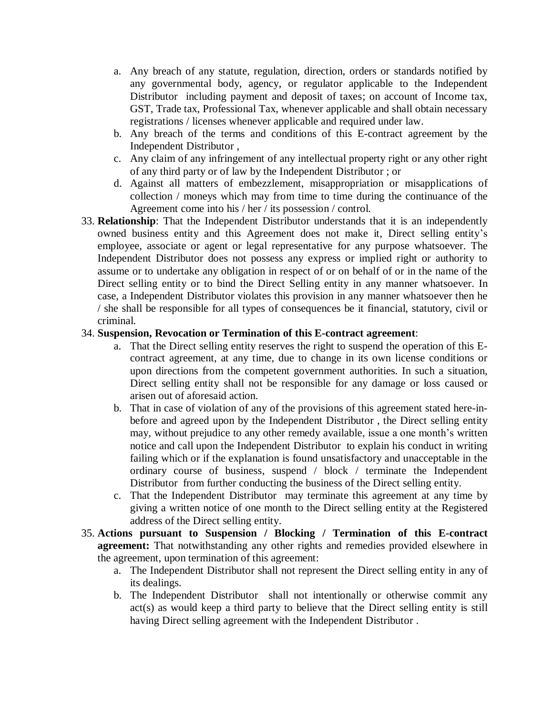- a. Any breach of any statute, regulation, direction, orders or standards notified by any governmental body, agency, or regulator applicable to the Independent Distributor including payment and deposit of taxes; on account of Income tax, GST, Trade tax, Professional Tax, whenever applicable and shall obtain necessary registrations / licenses whenever applicable and required under law.
- b. Any breach of the terms and conditions of this E-contract agreement by the Independent Distributor ,
- c. Any claim of any infringement of any intellectual property right or any other right of any third party or of law by the Independent Distributor ; or
- d. Against all matters of embezzlement, misappropriation or misapplications of collection / moneys which may from time to time during the continuance of the Agreement come into his / her / its possession / control.
- 33. **Relationship**: That the Independent Distributor understands that it is an independently owned business entity and this Agreement does not make it, Direct selling entity's employee, associate or agent or legal representative for any purpose whatsoever. The Independent Distributor does not possess any express or implied right or authority to assume or to undertake any obligation in respect of or on behalf of or in the name of the Direct selling entity or to bind the Direct Selling entity in any manner whatsoever. In case, a Independent Distributor violates this provision in any manner whatsoever then he / she shall be responsible for all types of consequences be it financial, statutory, civil or criminal.

#### 34. **Suspension, Revocation or Termination of this E-contract agreement**:

- a. That the Direct selling entity reserves the right to suspend the operation of this Econtract agreement, at any time, due to change in its own license conditions or upon directions from the competent government authorities. In such a situation, Direct selling entity shall not be responsible for any damage or loss caused or arisen out of aforesaid action.
- b. That in case of violation of any of the provisions of this agreement stated here-inbefore and agreed upon by the Independent Distributor , the Direct selling entity may, without prejudice to any other remedy available, issue a one month's written notice and call upon the Independent Distributor to explain his conduct in writing failing which or if the explanation is found unsatisfactory and unacceptable in the ordinary course of business, suspend / block / terminate the Independent Distributor from further conducting the business of the Direct selling entity.
- c. That the Independent Distributor may terminate this agreement at any time by giving a written notice of one month to the Direct selling entity at the Registered address of the Direct selling entity.
- 35. **Actions pursuant to Suspension / Blocking / Termination of this E-contract agreement:** That notwithstanding any other rights and remedies provided elsewhere in the agreement, upon termination of this agreement:
	- a. The Independent Distributor shall not represent the Direct selling entity in any of its dealings.
	- b. The Independent Distributor shall not intentionally or otherwise commit any act(s) as would keep a third party to believe that the Direct selling entity is still having Direct selling agreement with the Independent Distributor .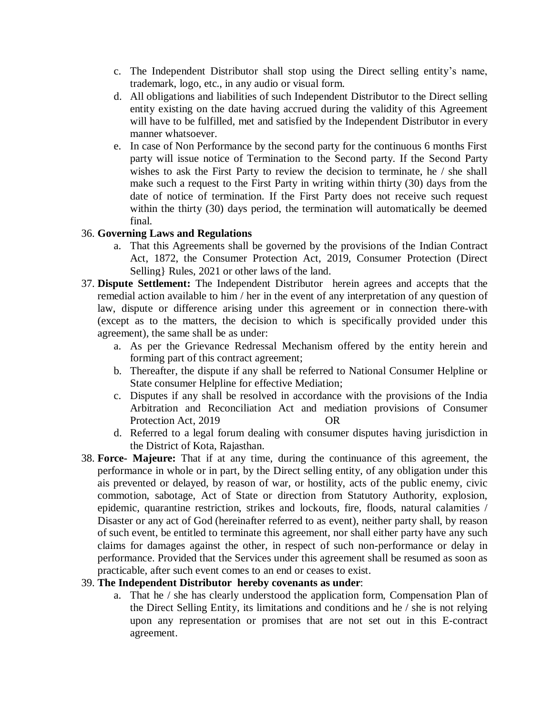- c. The Independent Distributor shall stop using the Direct selling entity's name, trademark, logo, etc., in any audio or visual form.
- d. All obligations and liabilities of such Independent Distributor to the Direct selling entity existing on the date having accrued during the validity of this Agreement will have to be fulfilled, met and satisfied by the Independent Distributor in every manner whatsoever.
- e. In case of Non Performance by the second party for the continuous 6 months First party will issue notice of Termination to the Second party. If the Second Party wishes to ask the First Party to review the decision to terminate, he / she shall make such a request to the First Party in writing within thirty (30) days from the date of notice of termination. If the First Party does not receive such request within the thirty (30) days period, the termination will automatically be deemed final.

# 36. **Governing Laws and Regulations**

- a. That this Agreements shall be governed by the provisions of the Indian Contract Act, 1872, the Consumer Protection Act, 2019, Consumer Protection (Direct Selling} Rules, 2021 or other laws of the land.
- 37. **Dispute Settlement:** The Independent Distributor herein agrees and accepts that the remedial action available to him / her in the event of any interpretation of any question of law, dispute or difference arising under this agreement or in connection there-with (except as to the matters, the decision to which is specifically provided under this agreement), the same shall be as under:
	- a. As per the Grievance Redressal Mechanism offered by the entity herein and forming part of this contract agreement;
	- b. Thereafter, the dispute if any shall be referred to National Consumer Helpline or State consumer Helpline for effective Mediation;
	- c. Disputes if any shall be resolved in accordance with the provisions of the India Arbitration and Reconciliation Act and mediation provisions of Consumer Protection Act, 2019 OR
	- d. Referred to a legal forum dealing with consumer disputes having jurisdiction in the District of Kota, Rajasthan.
- 38. **Force- Majeure:** That if at any time, during the continuance of this agreement, the performance in whole or in part, by the Direct selling entity, of any obligation under this ais prevented or delayed, by reason of war, or hostility, acts of the public enemy, civic commotion, sabotage, Act of State or direction from Statutory Authority, explosion, epidemic, quarantine restriction, strikes and lockouts, fire, floods, natural calamities / Disaster or any act of God (hereinafter referred to as event), neither party shall, by reason of such event, be entitled to terminate this agreement, nor shall either party have any such claims for damages against the other, in respect of such non-performance or delay in performance. Provided that the Services under this agreement shall be resumed as soon as practicable, after such event comes to an end or ceases to exist.

#### 39. **The Independent Distributor hereby covenants as under**:

a. That he / she has clearly understood the application form, Compensation Plan of the Direct Selling Entity, its limitations and conditions and he / she is not relying upon any representation or promises that are not set out in this E-contract agreement.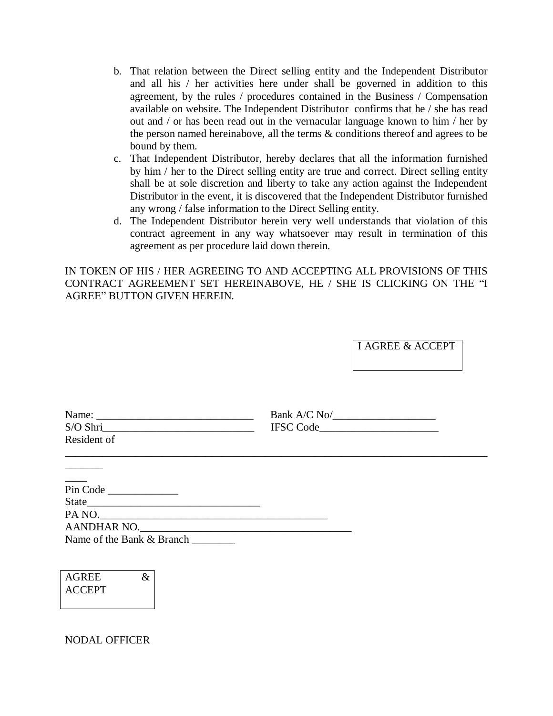- b. That relation between the Direct selling entity and the Independent Distributor and all his / her activities here under shall be governed in addition to this agreement, by the rules / procedures contained in the Business / Compensation available on website. The Independent Distributor confirms that he / she has read out and / or has been read out in the vernacular language known to him / her by the person named hereinabove, all the terms & conditions thereof and agrees to be bound by them.
- c. That Independent Distributor, hereby declares that all the information furnished by him / her to the Direct selling entity are true and correct. Direct selling entity shall be at sole discretion and liberty to take any action against the Independent Distributor in the event, it is discovered that the Independent Distributor furnished any wrong / false information to the Direct Selling entity.
- d. The Independent Distributor herein very well understands that violation of this contract agreement in any way whatsoever may result in termination of this agreement as per procedure laid down therein.

IN TOKEN OF HIS / HER AGREEING TO AND ACCEPTING ALL PROVISIONS OF THIS CONTRACT AGREEMENT SET HEREINABOVE, HE / SHE IS CLICKING ON THE "I AGREE" BUTTON GIVEN HEREIN.

I AGREE & ACCEPT

|                    | Bank $A/C$ No/ $\_\_\_\_\_\_\_\_\_\_\_\_\_$ |  |
|--------------------|---------------------------------------------|--|
|                    | IFSC Code                                   |  |
| Resident of        |                                             |  |
| $\frac{1}{1}$      |                                             |  |
| Pin Code           |                                             |  |
|                    |                                             |  |
| PA NO.             |                                             |  |
| <b>AANDHAR NO.</b> |                                             |  |

Name of the Bank & Branch

| <b>AGREE</b>  | X. |
|---------------|----|
| <b>ACCEPT</b> |    |
|               |    |

NODAL OFFICER